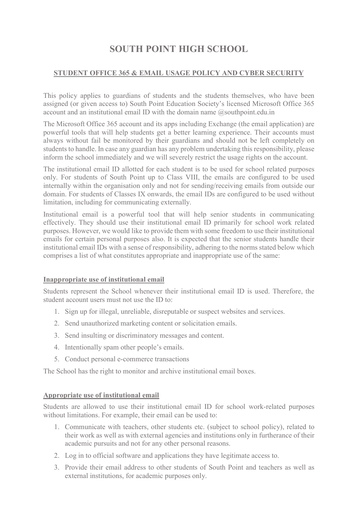# SOUTH POINT HIGH SCHOOL

### STUDENT OFFICE 365 & EMAIL USAGE POLICY AND CYBER SECURITY

This policy applies to guardians of students and the students themselves, who have been assigned (or given access to) South Point Education Society's licensed Microsoft Office 365 account and an institutional email ID with the domain name  $@$ southpoint.edu.in

The Microsoft Office 365 account and its apps including Exchange (the email application) are powerful tools that will help students get a better learning experience. Their accounts must always without fail be monitored by their guardians and should not be left completely on students to handle. In case any guardian has any problem undertaking this responsibility, please inform the school immediately and we will severely restrict the usage rights on the account.

The institutional email ID allotted for each student is to be used for school related purposes only. For students of South Point up to Class VIII, the emails are configured to be used internally within the organisation only and not for sending/receiving emails from outside our domain. For students of Classes IX onwards, the email IDs are configured to be used without limitation, including for communicating externally.

Institutional email is a powerful tool that will help senior students in communicating effectively. They should use their institutional email ID primarily for school work related purposes. However, we would like to provide them with some freedom to use their institutional emails for certain personal purposes also. It is expected that the senior students handle their institutional email IDs with a sense of responsibility, adhering to the norms stated below which comprises a list of what constitutes appropriate and inappropriate use of the same:

### Inappropriate use of institutional email

Students represent the School whenever their institutional email ID is used. Therefore, the student account users must not use the ID to:

- 1. Sign up for illegal, unreliable, disreputable or suspect websites and services.
- 2. Send unauthorized marketing content or solicitation emails.
- 3. Send insulting or discriminatory messages and content.
- 4. Intentionally spam other people's emails.
- 5. Conduct personal e-commerce transactions

The School has the right to monitor and archive institutional email boxes.

### Appropriate use of institutional email

Students are allowed to use their institutional email ID for school work-related purposes without limitations. For example, their email can be used to:

- 1. Communicate with teachers, other students etc. (subject to school policy), related to their work as well as with external agencies and institutions only in furtherance of their academic pursuits and not for any other personal reasons.
- 2. Log in to official software and applications they have legitimate access to.
- 3. Provide their email address to other students of South Point and teachers as well as external institutions, for academic purposes only.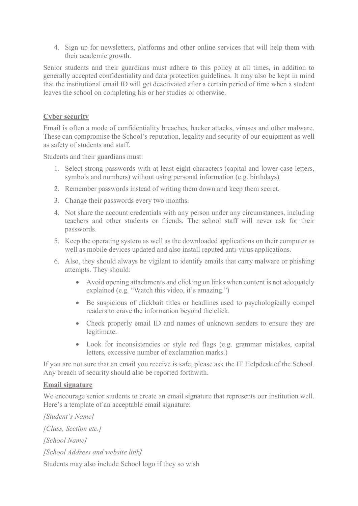4. Sign up for newsletters, platforms and other online services that will help them with their academic growth.

Senior students and their guardians must adhere to this policy at all times, in addition to generally accepted confidentiality and data protection guidelines. It may also be kept in mind that the institutional email ID will get deactivated after a certain period of time when a student leaves the school on completing his or her studies or otherwise.

# Cyber security

Email is often a mode of confidentiality breaches, hacker attacks, viruses and other malware. These can compromise the School's reputation, legality and security of our equipment as well as safety of students and staff.

Students and their guardians must:

- 1. Select strong passwords with at least eight characters (capital and lower-case letters, symbols and numbers) without using personal information (e.g. birthdays)
- 2. Remember passwords instead of writing them down and keep them secret.
- 3. Change their passwords every two months.
- 4. Not share the account credentials with any person under any circumstances, including teachers and other students or friends. The school staff will never ask for their passwords.
- 5. Keep the operating system as well as the downloaded applications on their computer as well as mobile devices updated and also install reputed anti-virus applications.
- 6. Also, they should always be vigilant to identify emails that carry malware or phishing attempts. They should:
	- Avoid opening attachments and clicking on links when content is not adequately explained (e.g. "Watch this video, it's amazing.")
	- Be suspicious of clickbait titles or headlines used to psychologically compel readers to crave the information beyond the click.
	- Check properly email ID and names of unknown senders to ensure they are legitimate.
	- Look for inconsistencies or style red flags (e.g. grammar mistakes, capital letters, excessive number of exclamation marks.)

If you are not sure that an email you receive is safe, please ask the IT Helpdesk of the School. Any breach of security should also be reported forthwith.

### Email signature

We encourage senior students to create an email signature that represents our institution well. Here's a template of an acceptable email signature:

[Student's Name] [Class, Section etc.] [School Name] [School Address and website link] Students may also include School logo if they so wish